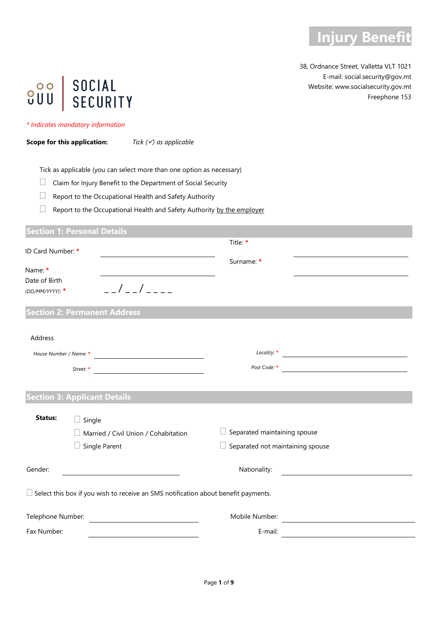

38, Ordnance Street, Valletta VLT 1021 E-mail: social.security@gov.mt Website: www.socialsecurity.gov.mt Freephone 153

# SOCIAL<br>SECURITY  $200$

#### *\* Indicates mandatory information*

**Scope for this application:** *Tick () as applicable*

Tick as applicable (you can select more than one option as necessary)

 $\Box$  Claim for Injury Benefit to the Department of Social Security

 $\Box$  Report to the Occupational Health and Safety Authority

 $\Box$  Report to the Occupational Health and Safety Authority by the employer

### **Section 1: Personal Details**

| ID Card Number: *        |                                                                                           | Title: *                                |  |
|--------------------------|-------------------------------------------------------------------------------------------|-----------------------------------------|--|
| Name: *<br>Date of Birth |                                                                                           | Surname: *                              |  |
| (DD/MM/YYYY): *          | $\frac{1}{2}$                                                                             |                                         |  |
|                          | <b>Section 2: Permanent Address</b>                                                       |                                         |  |
| Address                  |                                                                                           |                                         |  |
| House Number / Name: *   |                                                                                           |                                         |  |
|                          | Street: *                                                                                 | Post Code: *                            |  |
|                          |                                                                                           |                                         |  |
|                          | <b>Section 3: Applicant Details</b>                                                       |                                         |  |
| Status:                  | $\Box$ Single                                                                             |                                         |  |
|                          | Married / Civil Union / Cohabitation                                                      | Separated maintaining spouse            |  |
|                          | Single Parent                                                                             | $\Box$ Separated not maintaining spouse |  |
| Gender:                  |                                                                                           | Nationality:                            |  |
|                          | $\Box$ Select this box if you wish to receive an SMS notification about benefit payments. |                                         |  |
| Telephone Number:        |                                                                                           | Mobile Number:                          |  |
| Fax Number:              |                                                                                           | E-mail:                                 |  |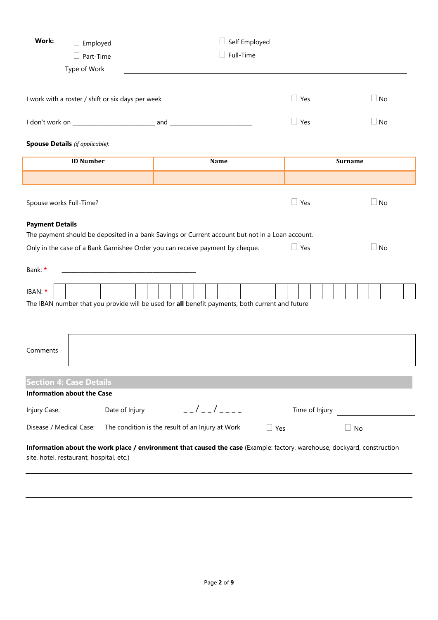| Work:<br>Employed                                                                                                                                                    |                                                                                                                      | Self Employed |                           |  |            |            |                |                |           |  |
|----------------------------------------------------------------------------------------------------------------------------------------------------------------------|----------------------------------------------------------------------------------------------------------------------|---------------|---------------------------|--|------------|------------|----------------|----------------|-----------|--|
| Part-Time                                                                                                                                                            |                                                                                                                      | Full-Time     |                           |  |            |            |                |                |           |  |
| Type of Work                                                                                                                                                         |                                                                                                                      |               |                           |  |            |            |                |                |           |  |
|                                                                                                                                                                      |                                                                                                                      |               |                           |  |            |            |                |                |           |  |
| I work with a roster / shift or six days per week                                                                                                                    |                                                                                                                      |               |                           |  |            | $\Box$ Yes |                |                | $\Box$ No |  |
|                                                                                                                                                                      |                                                                                                                      |               |                           |  |            | $\Box$ Yes |                |                | $\Box$ No |  |
| <b>Spouse Details</b> (if applicable):                                                                                                                               |                                                                                                                      |               |                           |  |            |            |                |                |           |  |
| <b>ID Number</b>                                                                                                                                                     |                                                                                                                      |               | Name                      |  |            |            |                | <b>Surname</b> |           |  |
|                                                                                                                                                                      |                                                                                                                      |               |                           |  |            |            |                |                |           |  |
| Spouse works Full-Time?                                                                                                                                              |                                                                                                                      |               |                           |  |            | $\Box$ Yes |                |                | $\Box$ No |  |
| <b>Payment Details</b><br>The payment should be deposited in a bank Savings or Current account but not in a Loan account.                                            |                                                                                                                      |               |                           |  |            |            |                |                |           |  |
| Only in the case of a Bank Garnishee Order you can receive payment by cheque.                                                                                        |                                                                                                                      |               |                           |  |            | $\Box$ Yes |                |                | $\Box$ No |  |
| Bank: *                                                                                                                                                              | <u> 1989 - Johann John Stone, markin film yn y systematist yn y brening yn y brening yn y brening yn y brening y</u> |               |                           |  |            |            |                |                |           |  |
| IBAN: *                                                                                                                                                              |                                                                                                                      |               |                           |  |            |            |                |                |           |  |
| The IBAN number that you provide will be used for all benefit payments, both current and future                                                                      |                                                                                                                      |               |                           |  |            |            |                |                |           |  |
|                                                                                                                                                                      |                                                                                                                      |               |                           |  |            |            |                |                |           |  |
| Comments                                                                                                                                                             |                                                                                                                      |               |                           |  |            |            |                |                |           |  |
| <b>Section 4: Case Details</b>                                                                                                                                       |                                                                                                                      |               |                           |  |            |            |                |                |           |  |
| <b>Information about the Case</b>                                                                                                                                    |                                                                                                                      |               |                           |  |            |            |                |                |           |  |
| Injury Case:                                                                                                                                                         | Date of Injury                                                                                                       |               | $-$ - $/$ - - $/$ - - - - |  |            |            | Time of Injury |                |           |  |
| Disease / Medical Case:<br>The condition is the result of an Injury at Work                                                                                          |                                                                                                                      |               |                           |  | $\Box$ Yes |            |                | $\Box$ No      |           |  |
| Information about the work place / environment that caused the case (Example: factory, warehouse, dockyard, construction<br>site, hotel, restaurant, hospital, etc.) |                                                                                                                      |               |                           |  |            |            |                |                |           |  |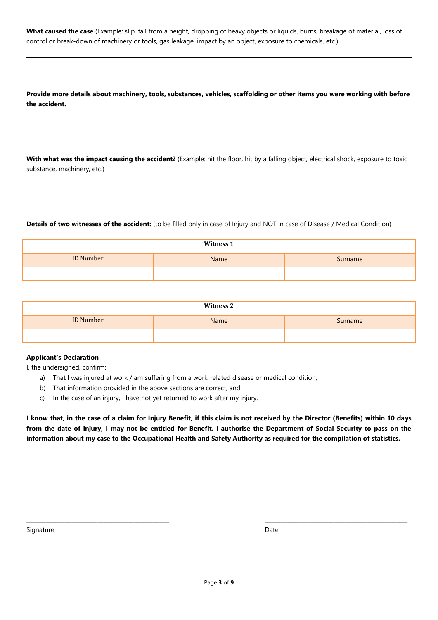**What caused the case** (Example: slip, fall from a height, dropping of heavy objects or liquids, burns, breakage of material, loss of control or break-down of machinery or tools, gas leakage, impact by an object, exposure to chemicals, etc.)

**Provide more details about machinery, tools, substances, vehicles, scaffolding or other items you were working with before the accident.**

**With what was the impact causing the accident?** (Example: hit the floor, hit by a falling object, electrical shock, exposure to toxic substance, machinery, etc.)

**Details of two witnesses of the accident:** (to be filled only in case of Injury and NOT in case of Disease / Medical Condition)

| <b>Witness 1</b> |      |         |  |  |  |
|------------------|------|---------|--|--|--|
| <b>ID Number</b> | Name | Surname |  |  |  |
|                  |      |         |  |  |  |

| <b>Witness 2</b> |      |         |  |  |  |
|------------------|------|---------|--|--|--|
| <b>ID Number</b> | Name | Surname |  |  |  |
|                  |      |         |  |  |  |

#### **Applicant's Declaration**

I, the undersigned, confirm:

- a) That I was injured at work / am suffering from a work-related disease or medical condition,
- b) That information provided in the above sections are correct, and
- c) In the case of an injury, I have not yet returned to work after my injury.

**I know that, in the case of a claim for Injury Benefit, if this claim is not received by the Director (Benefits) within 10 days from the date of injury, I may not be entitled for Benefit. I authorise the Department of Social Security to pass on the information about my case to the Occupational Health and Safety Authority as required for the compilation of statistics.**

Signature Date

\_\_\_\_\_\_\_\_\_\_\_\_\_\_\_\_\_\_\_\_\_\_\_\_\_\_\_\_\_\_\_\_\_\_\_\_\_\_\_\_\_\_\_\_\_\_\_\_\_\_\_\_ \_\_\_\_\_\_\_\_\_\_\_\_\_\_\_\_\_\_\_\_\_\_\_\_\_\_\_\_\_\_\_\_\_\_\_\_\_\_\_\_\_\_\_\_\_\_\_\_\_\_\_\_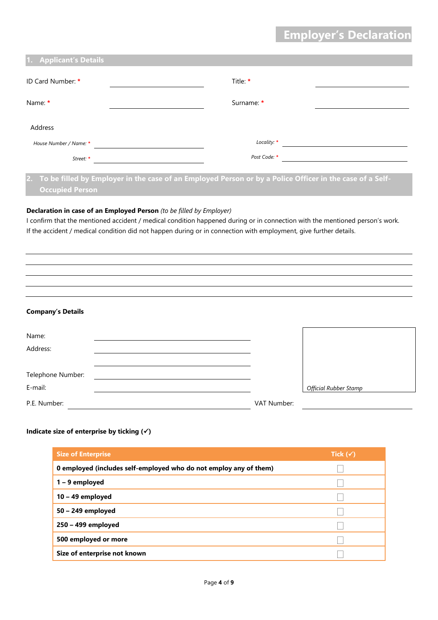## **Employer's Declaration**

| Title: *     |
|--------------|
| Surname: *   |
|              |
| Locality: *  |
| Post Code: * |
|              |

**2. To be filled by Employer in the case of an Employed Person or by a Police Officer in the case of a Self-Occupied Person**

#### **Declaration in case of an Employed Person** *(to be filled by Employer)*

I confirm that the mentioned accident / medical condition happened during or in connection with the mentioned person's work. If the accident / medical condition did not happen during or in connection with employment, give further details.

**Company's Details**

| Name:<br>Address: |             |                              |
|-------------------|-------------|------------------------------|
|                   |             |                              |
| Telephone Number: |             |                              |
| E-mail:           |             | <b>Official Rubber Stamp</b> |
| P.E. Number:      | VAT Number: |                              |

#### **Indicate size of enterprise by ticking ()**

| <b>Size of Enterprise</b>                                         | Tick $(\checkmark)$ |
|-------------------------------------------------------------------|---------------------|
| 0 employed (includes self-employed who do not employ any of them) |                     |
| 1 – 9 employed                                                    |                     |
| 10 - 49 employed                                                  |                     |
| 50 - 249 employed                                                 |                     |
| 250 - 499 employed                                                |                     |
| 500 employed or more                                              |                     |
| Size of enterprise not known                                      |                     |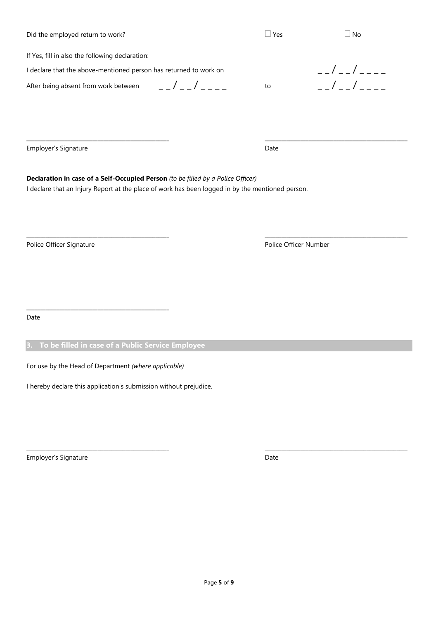Page **5** of **9**

\_\_\_\_\_\_\_\_\_\_\_\_\_\_\_\_\_\_\_\_\_\_\_\_\_\_\_\_\_\_\_\_\_\_\_\_\_\_\_\_\_\_\_\_\_\_\_\_\_\_\_\_ \_\_\_\_\_\_\_\_\_\_\_\_\_\_\_\_\_\_\_\_\_\_\_\_\_\_\_\_\_\_\_\_\_\_\_\_\_\_\_\_\_\_\_\_\_\_\_\_\_\_\_\_

Did the employed return to work?  $\Box$  Yes  $\Box$  Yes  $\Box$  No

If Yes, fill in also the following declaration:

I declare that the above-mentioned person has returned to work on  $\begin{array}{c} \n\hline\n\end{array}$   $\begin{array}{c} \n\hline\n\end{array}$ 

After being absent from work between  $\qquad$   $\qquad$   $\qquad$   $\qquad$   $\qquad$   $\qquad$   $\qquad$   $\qquad$   $\qquad$   $\qquad$   $\qquad$   $\qquad$   $\qquad$   $\qquad$   $\qquad$   $\qquad$   $\qquad$   $\qquad$   $\qquad$   $\qquad$   $\qquad$   $\qquad$   $\qquad$   $\qquad$   $\qquad$   $\qquad$   $\qquad$   $\qquad$   $\qquad$   $\qquad$   $\qquad$ 

Employer's Signature **Date** 

**Declaration in case of a Self-Occupied Person** *(to be filled by a Police Officer)* I declare that an Injury Report at the place of work has been logged in by the mentioned person.

Police Officer Signature **Police Officer Number** Police Officer Number

Date

#### **3. To be filled in case of a Public Service Employee**

For use by the Head of Department *(where applicable)*

\_\_\_\_\_\_\_\_\_\_\_\_\_\_\_\_\_\_\_\_\_\_\_\_\_\_\_\_\_\_\_\_\_\_\_\_\_\_\_\_\_\_\_\_\_\_\_\_\_\_\_\_

I hereby declare this application's submission without prejudice.

Employer's Signature **Date** 

\_\_\_\_\_\_\_\_\_\_\_\_\_\_\_\_\_\_\_\_\_\_\_\_\_\_\_\_\_\_\_\_\_\_\_\_\_\_\_\_\_\_\_\_\_\_\_\_\_\_\_\_ \_\_\_\_\_\_\_\_\_\_\_\_\_\_\_\_\_\_\_\_\_\_\_\_\_\_\_\_\_\_\_\_\_\_\_\_\_\_\_\_\_\_\_\_\_\_\_\_\_\_\_\_

\_\_\_\_\_\_\_\_\_\_\_\_\_\_\_\_\_\_\_\_\_\_\_\_\_\_\_\_\_\_\_\_\_\_\_\_\_\_\_\_\_\_\_\_\_\_\_\_\_\_\_\_ \_\_\_\_\_\_\_\_\_\_\_\_\_\_\_\_\_\_\_\_\_\_\_\_\_\_\_\_\_\_\_\_\_\_\_\_\_\_\_\_\_\_\_\_\_\_\_\_\_\_\_\_

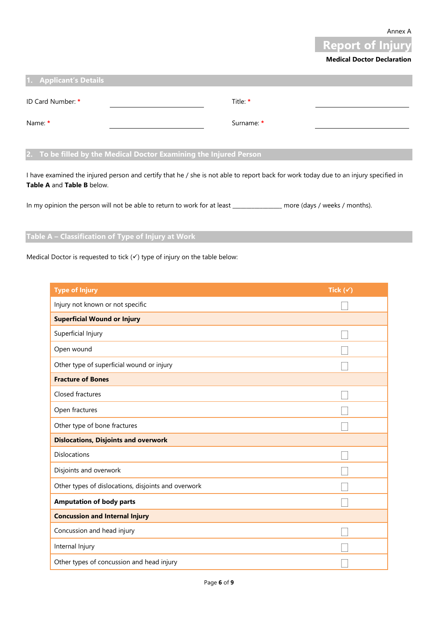Annex A



#### **Medical Doctor Declaration**

| 1. Applicant's Details |            |  |
|------------------------|------------|--|
| ID Card Number: *      | Title *    |  |
| Name: *                | Surname: * |  |

#### **2. To be filled by the Medical Doctor Examining the Injured Person**

I have examined the injured person and certify that he / she is not able to report back for work today due to an injury specified in **Table A** and **Table B** below.

In my opinion the person will not be able to return to work for at least \_\_\_\_\_\_\_\_\_\_\_\_\_\_\_\_\_ more (days / weeks / months).

#### **Table A – Classification of Type of Injury at Work**

Medical Doctor is requested to tick  $(\checkmark)$  type of injury on the table below:

| <b>Type of Injury</b>                               | Tick $(\checkmark)$ |
|-----------------------------------------------------|---------------------|
| Injury not known or not specific                    |                     |
| <b>Superficial Wound or Injury</b>                  |                     |
| Superficial Injury                                  |                     |
| Open wound                                          |                     |
| Other type of superficial wound or injury           |                     |
| <b>Fracture of Bones</b>                            |                     |
| Closed fractures                                    |                     |
| Open fractures                                      |                     |
| Other type of bone fractures                        |                     |
| <b>Dislocations, Disjoints and overwork</b>         |                     |
| <b>Dislocations</b>                                 |                     |
| Disjoints and overwork                              |                     |
| Other types of dislocations, disjoints and overwork |                     |
| <b>Amputation of body parts</b>                     |                     |
| <b>Concussion and Internal Injury</b>               |                     |
| Concussion and head injury                          |                     |
| Internal Injury                                     |                     |
| Other types of concussion and head injury           |                     |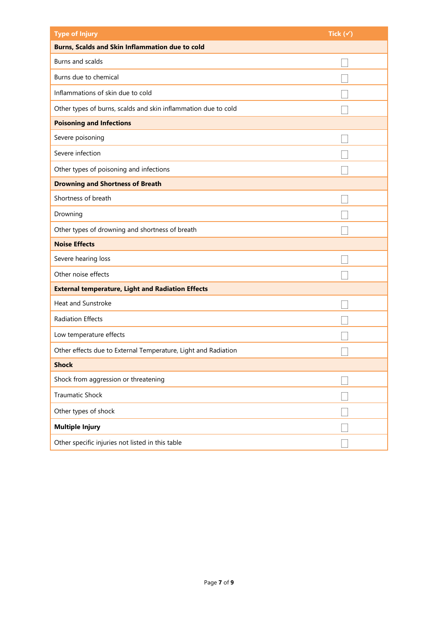| <b>Type of Injury</b>                                          | Tick $(\checkmark)$ |
|----------------------------------------------------------------|---------------------|
| <b>Burns, Scalds and Skin Inflammation due to cold</b>         |                     |
| Burns and scalds                                               |                     |
| Burns due to chemical                                          |                     |
| Inflammations of skin due to cold                              |                     |
| Other types of burns, scalds and skin inflammation due to cold |                     |
| <b>Poisoning and Infections</b>                                |                     |
| Severe poisoning                                               |                     |
| Severe infection                                               |                     |
| Other types of poisoning and infections                        |                     |
| <b>Drowning and Shortness of Breath</b>                        |                     |
| Shortness of breath                                            |                     |
| Drowning                                                       |                     |
| Other types of drowning and shortness of breath                |                     |
| <b>Noise Effects</b>                                           |                     |
| Severe hearing loss                                            |                     |
| Other noise effects                                            |                     |
| <b>External temperature, Light and Radiation Effects</b>       |                     |
| Heat and Sunstroke                                             |                     |
| <b>Radiation Effects</b>                                       |                     |
| Low temperature effects                                        |                     |
| Other effects due to External Temperature, Light and Radiation |                     |
| <b>Shock</b>                                                   |                     |
| Shock from aggression or threatening                           |                     |
| <b>Traumatic Shock</b>                                         |                     |
| Other types of shock                                           |                     |
| <b>Multiple Injury</b>                                         |                     |
| Other specific injuries not listed in this table               |                     |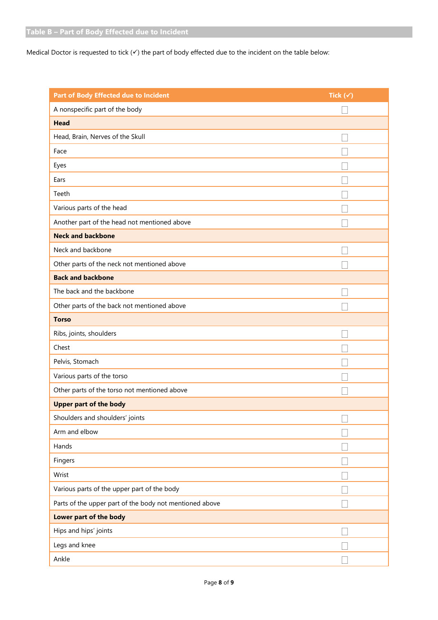Medical Doctor is requested to tick  $(\checkmark)$  the part of body effected due to the incident on the table below:

| Part of Body Effected due to Incident                   | Tick $(\checkmark)$ |
|---------------------------------------------------------|---------------------|
| A nonspecific part of the body                          |                     |
| <b>Head</b>                                             |                     |
| Head, Brain, Nerves of the Skull                        |                     |
| Face                                                    |                     |
| Eyes                                                    |                     |
| Ears                                                    |                     |
| Teeth                                                   |                     |
| Various parts of the head                               |                     |
| Another part of the head not mentioned above            |                     |
| <b>Neck and backbone</b>                                |                     |
| Neck and backbone                                       |                     |
| Other parts of the neck not mentioned above             |                     |
| <b>Back and backbone</b>                                |                     |
| The back and the backbone                               |                     |
| Other parts of the back not mentioned above             |                     |
| <b>Torso</b>                                            |                     |
| Ribs, joints, shoulders                                 |                     |
| Chest                                                   |                     |
| Pelvis, Stomach                                         |                     |
| Various parts of the torso                              |                     |
| Other parts of the torso not mentioned above            |                     |
| <b>Upper part of the body</b>                           |                     |
| Shoulders and shoulders' joints                         | $\Box$              |
| Arm and elbow                                           |                     |
| Hands                                                   |                     |
| Fingers                                                 |                     |
| Wrist                                                   |                     |
| Various parts of the upper part of the body             |                     |
| Parts of the upper part of the body not mentioned above |                     |
| Lower part of the body                                  |                     |
| Hips and hips' joints                                   |                     |
| Legs and knee                                           |                     |
| Ankle                                                   |                     |